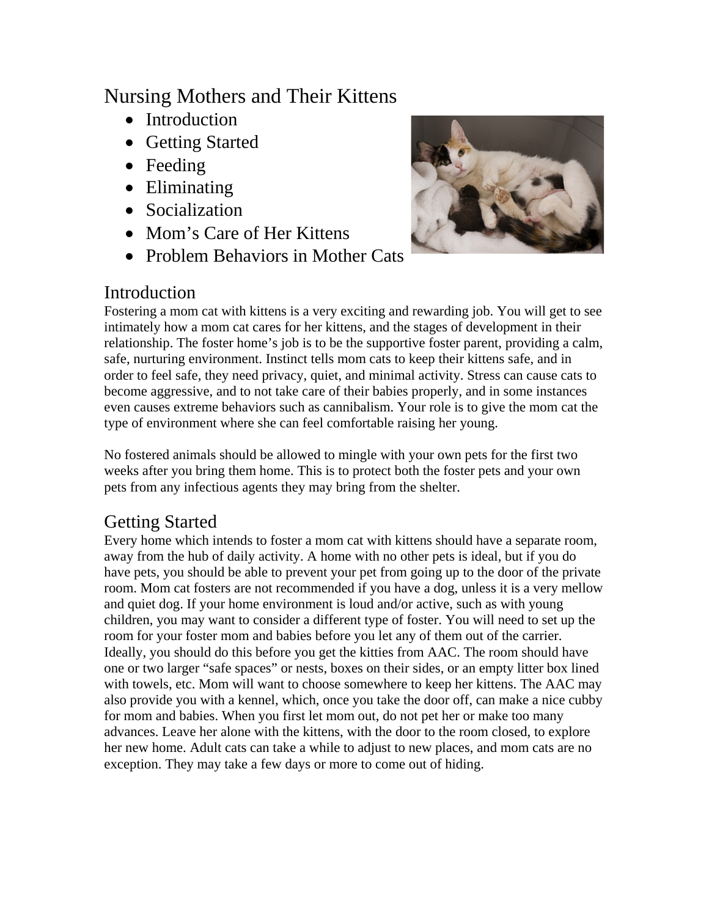# Nursing Mothers and Their Kittens

- Introduction
- Getting Started
- Feeding
- Eliminating
- Socialization
- Mom's Care of Her Kittens
- Problem Behaviors in Mother Cats



### Introduction

Fostering a mom cat with kittens is a very exciting and rewarding job. You will get to see intimately how a mom cat cares for her kittens, and the stages of development in their relationship. The foster home's job is to be the supportive foster parent, providing a calm, safe, nurturing environment. Instinct tells mom cats to keep their kittens safe, and in order to feel safe, they need privacy, quiet, and minimal activity. Stress can cause cats to become aggressive, and to not take care of their babies properly, and in some instances even causes extreme behaviors such as cannibalism. Your role is to give the mom cat the type of environment where she can feel comfortable raising her young.

No fostered animals should be allowed to mingle with your own pets for the first two weeks after you bring them home. This is to protect both the foster pets and your own pets from any infectious agents they may bring from the shelter.

## Getting Started

Every home which intends to foster a mom cat with kittens should have a separate room, away from the hub of daily activity. A home with no other pets is ideal, but if you do have pets, you should be able to prevent your pet from going up to the door of the private room. Mom cat fosters are not recommended if you have a dog, unless it is a very mellow and quiet dog. If your home environment is loud and/or active, such as with young children, you may want to consider a different type of foster. You will need to set up the room for your foster mom and babies before you let any of them out of the carrier. Ideally, you should do this before you get the kitties from AAC. The room should have one or two larger "safe spaces" or nests, boxes on their sides, or an empty litter box lined with towels, etc. Mom will want to choose somewhere to keep her kittens. The AAC may also provide you with a kennel, which, once you take the door off, can make a nice cubby for mom and babies. When you first let mom out, do not pet her or make too many advances. Leave her alone with the kittens, with the door to the room closed, to explore her new home. Adult cats can take a while to adjust to new places, and mom cats are no exception. They may take a few days or more to come out of hiding.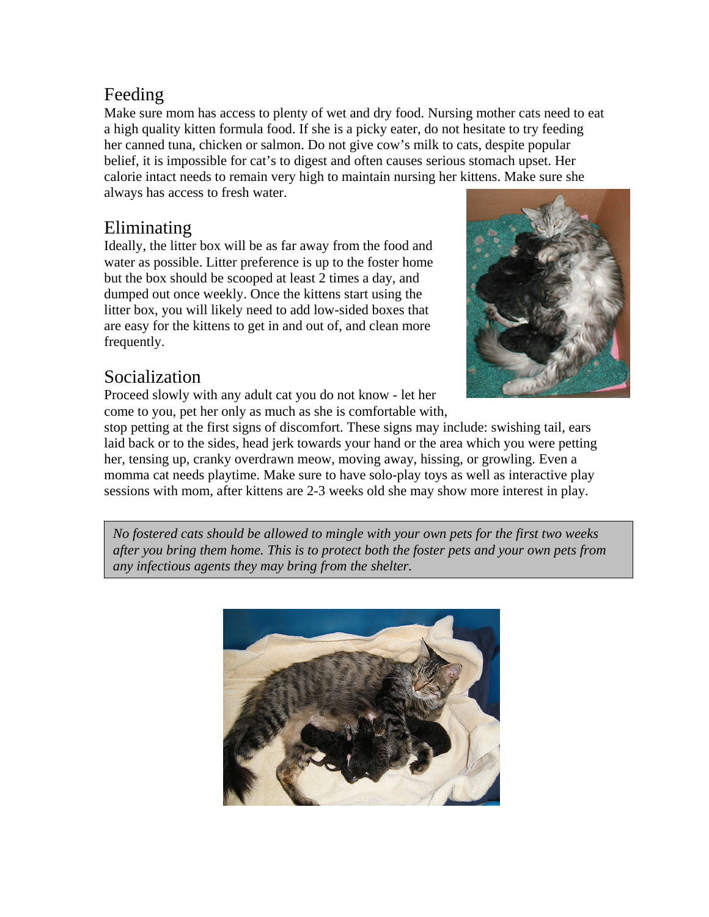## Feeding

Make sure mom has access to plenty of wet and dry food. Nursing mother cats need to eat a high quality kitten formula food. If she is a picky eater, do not hesitate to try feeding her canned tuna, chicken or salmon. Do not give cow's milk to cats, despite popular belief, it is impossible for cat's to digest and often causes serious stomach upset. Her calorie intact needs to remain very high to maintain nursing her kittens. Make sure she always has access to fresh water.

### Eliminating

Ideally, the litter box will be as far away from the food and water as possible. Litter preference is up to the foster home but the box should be scooped at least 2 times a day, and dumped out once weekly. Once the kittens start using the litter box, you will likely need to add low-sided boxes that are easy for the kittens to get in and out of, and clean more frequently.

## Socialization

Proceed slowly with any adult cat you do not know - let her come to you, pet her only as much as she is comfortable with,



stop petting at the first signs of discomfort. These signs may include: swishing tail, ears laid back or to the sides, head jerk towards your hand or the area which you were petting her, tensing up, cranky overdrawn meow, moving away, hissing, or growling. Even a momma cat needs playtime. Make sure to have solo-play toys as well as interactive play sessions with mom, after kittens are 2-3 weeks old she may show more interest in play.

*No fostered cats should be allowed to mingle with your own pets for the first two weeks after you bring them home. This is to protect both the foster pets and your own pets from any infectious agents they may bring from the shelter.* 

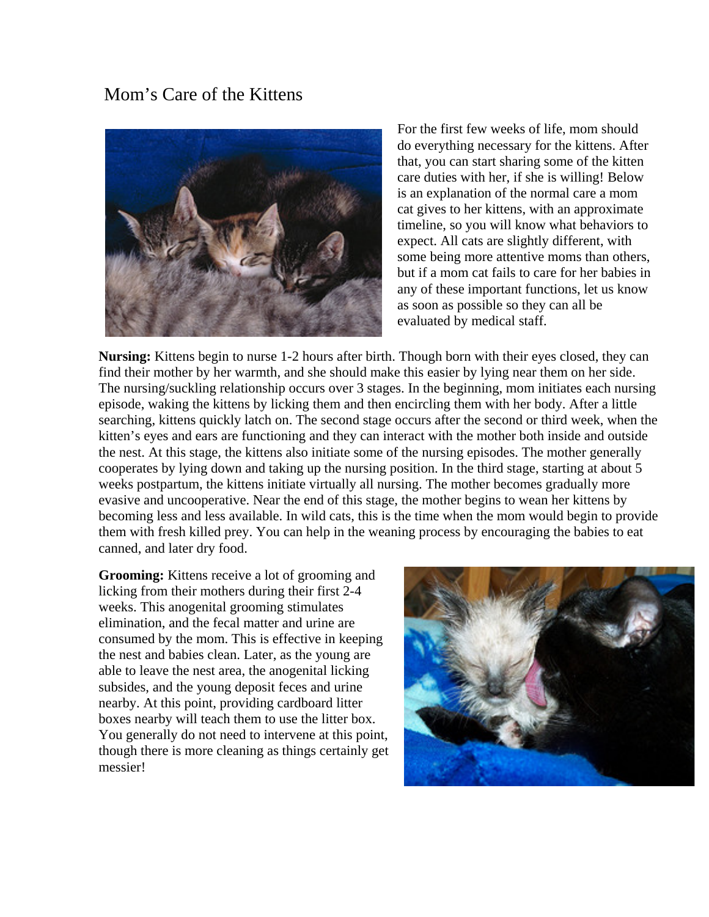### Mom's Care of the Kittens



For the first few weeks of life, mom should do everything necessary for the kittens. After that, you can start sharing some of the kitten care duties with her, if she is willing! Below is an explanation of the normal care a mom cat gives to her kittens, with an approximate timeline, so you will know what behaviors to expect. All cats are slightly different, with some being more attentive moms than others, but if a mom cat fails to care for her babies in any of these important functions, let us know as soon as possible so they can all be evaluated by medical staff.

**Nursing:** Kittens begin to nurse 1-2 hours after birth. Though born with their eyes closed, they can find their mother by her warmth, and she should make this easier by lying near them on her side. The nursing/suckling relationship occurs over 3 stages. In the beginning, mom initiates each nursing episode, waking the kittens by licking them and then encircling them with her body. After a little searching, kittens quickly latch on. The second stage occurs after the second or third week, when the kitten's eyes and ears are functioning and they can interact with the mother both inside and outside the nest. At this stage, the kittens also initiate some of the nursing episodes. The mother generally cooperates by lying down and taking up the nursing position. In the third stage, starting at about 5 weeks postpartum, the kittens initiate virtually all nursing. The mother becomes gradually more evasive and uncooperative. Near the end of this stage, the mother begins to wean her kittens by becoming less and less available. In wild cats, this is the time when the mom would begin to provide them with fresh killed prey. You can help in the weaning process by encouraging the babies to eat canned, and later dry food.

**Grooming:** Kittens receive a lot of grooming and licking from their mothers during their first 2-4 weeks. This anogenital grooming stimulates elimination, and the fecal matter and urine are consumed by the mom. This is effective in keeping the nest and babies clean. Later, as the young are able to leave the nest area, the anogenital licking subsides, and the young deposit feces and urine nearby. At this point, providing cardboard litter boxes nearby will teach them to use the litter box. You generally do not need to intervene at this point, though there is more cleaning as things certainly get messier!